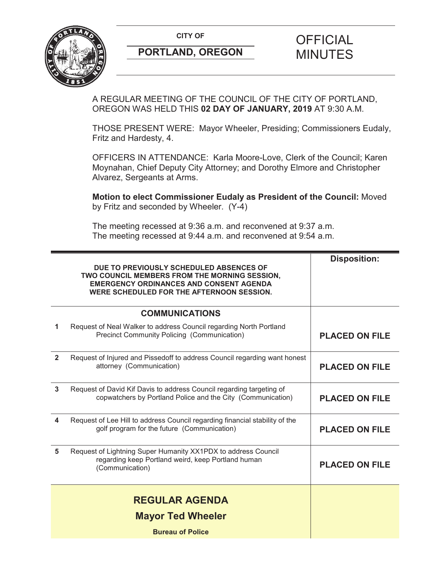

## **PORTLAND, OREGON MINUTES**

# **CITY OF CITY OF PICIAL**

A REGULAR MEETING OF THE COUNCIL OF THE CITY OF PORTLAND, OREGON WAS HELD THIS **02 DAY OF JANUARY, 2019** AT 9:30 A.M.

THOSE PRESENT WERE: Mayor Wheeler, Presiding; Commissioners Eudaly, Fritz and Hardesty, 4.

OFFICERS IN ATTENDANCE: Karla Moore-Love, Clerk of the Council; Karen Moynahan, Chief Deputy City Attorney; and Dorothy Elmore and Christopher Alvarez, Sergeants at Arms.

**Motion to elect Commissioner Eudaly as President of the Council:** Moved by Fritz and seconded by Wheeler. (Y-4)

The meeting recessed at 9:36 a.m. and reconvened at 9:37 a.m. The meeting recessed at 9:44 a.m. and reconvened at 9:54 a.m.

|                | DUE TO PREVIOUSLY SCHEDULED ABSENCES OF<br>TWO COUNCIL MEMBERS FROM THE MORNING SESSION,<br><b>EMERGENCY ORDINANCES AND CONSENT AGENDA</b><br>WERE SCHEDULED FOR THE AFTERNOON SESSION. | <b>Disposition:</b>   |
|----------------|-----------------------------------------------------------------------------------------------------------------------------------------------------------------------------------------|-----------------------|
|                | <b>COMMUNICATIONS</b>                                                                                                                                                                   |                       |
| 1              | Request of Neal Walker to address Council regarding North Portland<br>Precinct Community Policing (Communication)                                                                       | <b>PLACED ON FILE</b> |
| $\overline{2}$ | Request of Injured and Pissedoff to address Council regarding want honest<br>attorney (Communication)                                                                                   | <b>PLACED ON FILE</b> |
| 3              | Request of David Kif Davis to address Council regarding targeting of<br>copwatchers by Portland Police and the City (Communication)                                                     | <b>PLACED ON FILE</b> |
| 4              | Request of Lee Hill to address Council regarding financial stability of the<br>golf program for the future (Communication)                                                              | <b>PLACED ON FILE</b> |
| 5              | Request of Lightning Super Humanity XX1PDX to address Council<br>regarding keep Portland weird, keep Portland human<br>(Communication)                                                  | <b>PLACED ON FILE</b> |
|                | <b>REGULAR AGENDA</b>                                                                                                                                                                   |                       |
|                | <b>Mayor Ted Wheeler</b>                                                                                                                                                                |                       |
|                | <b>Bureau of Police</b>                                                                                                                                                                 |                       |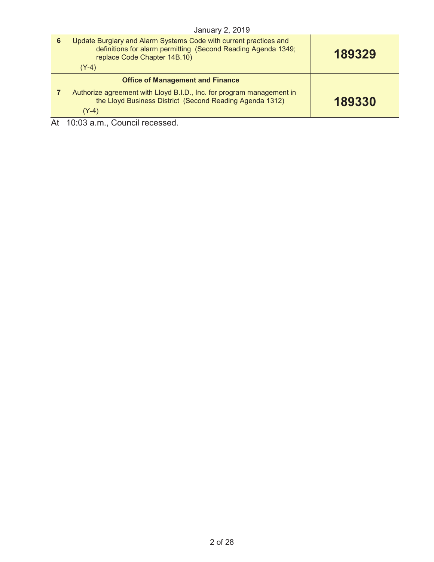|     | January 2, 2019                                                                                                                                                    |        |
|-----|--------------------------------------------------------------------------------------------------------------------------------------------------------------------|--------|
| 6   | Update Burglary and Alarm Systems Code with current practices and<br>definitions for alarm permitting (Second Reading Agenda 1349;<br>replace Code Chapter 14B.10) | 189329 |
|     | $(Y-4)$                                                                                                                                                            |        |
|     | <b>Office of Management and Finance</b>                                                                                                                            |        |
|     | Authorize agreement with Lloyd B.I.D., Inc. for program management in<br>the Lloyd Business District (Second Reading Agenda 1312)<br>$(Y-4)$                       | 189330 |
| Λ + | $10.02 \times m$ Council research                                                                                                                                  |        |

At 10:03 a.m., Council recessed.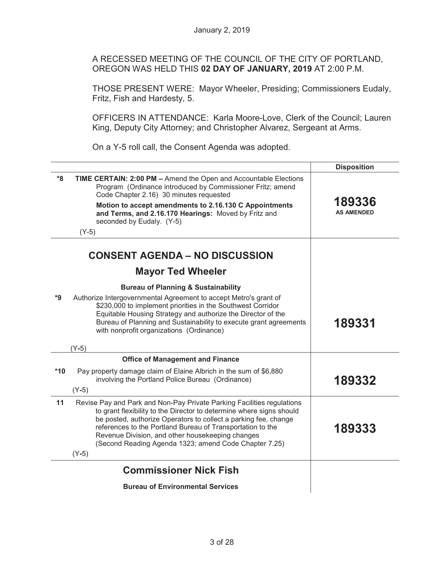A RECESSED MEETING OF THE COUNCIL OF THE CITY OF PORTLAND, OREGON WAS HELD THIS **02 DAY OF JANUARY, 2019** AT 2:00 P.M.

THOSE PRESENT WERE: Mayor Wheeler, Presiding; Commissioners Eudaly, Fritz, Fish and Hardesty, 5.

OFFICERS IN ATTENDANCE: Karla Moore-Love, Clerk of the Council; Lauren King, Deputy City Attorney; and Christopher Alvarez, Sergeant at Arms.

On a Y-5 roll call, the Consent Agenda was adopted.

|       |                                                                                                                                                                                                                                                                                                                                                                                                         | <b>Disposition</b>          |
|-------|---------------------------------------------------------------------------------------------------------------------------------------------------------------------------------------------------------------------------------------------------------------------------------------------------------------------------------------------------------------------------------------------------------|-----------------------------|
| $8*$  | TIME CERTAIN: 2:00 PM - Amend the Open and Accountable Elections<br>Program (Ordinance introduced by Commissioner Fritz; amend<br>Code Chapter 2.16) 30 minutes requested<br>Motion to accept amendments to 2.16.130 C Appointments<br>and Terms, and 2.16.170 Hearings: Moved by Fritz and<br>seconded by Eudaly. (Y-5)<br>$(Y-5)$                                                                     | 189336<br><b>AS AMENDED</b> |
|       | <b>CONSENT AGENDA – NO DISCUSSION</b>                                                                                                                                                                                                                                                                                                                                                                   |                             |
|       | <b>Mayor Ted Wheeler</b>                                                                                                                                                                                                                                                                                                                                                                                |                             |
| *9    | <b>Bureau of Planning &amp; Sustainability</b><br>Authorize Intergovernmental Agreement to accept Metro's grant of<br>\$230,000 to implement priorities in the Southwest Corridor<br>Equitable Housing Strategy and authorize the Director of the<br>Bureau of Planning and Sustainability to execute grant agreements<br>with nonprofit organizations (Ordinance)                                      | 189331                      |
|       | $(Y-5)$                                                                                                                                                                                                                                                                                                                                                                                                 |                             |
|       | <b>Office of Management and Finance</b>                                                                                                                                                                                                                                                                                                                                                                 |                             |
| $*10$ | Pay property damage claim of Elaine Albrich in the sum of \$6,880<br>involving the Portland Police Bureau (Ordinance)<br>$(Y-5)$                                                                                                                                                                                                                                                                        | 189332                      |
| 11    | Revise Pay and Park and Non-Pay Private Parking Facilities regulations<br>to grant flexibility to the Director to determine where signs should<br>be posted, authorize Operators to collect a parking fee, change<br>references to the Portland Bureau of Transportation to the<br>Revenue Division, and other housekeeping changes<br>(Second Reading Agenda 1323; amend Code Chapter 7.25)<br>$(Y-5)$ | 189333                      |
|       | <b>Commissioner Nick Fish</b>                                                                                                                                                                                                                                                                                                                                                                           |                             |
|       | <b>Bureau of Environmental Services</b>                                                                                                                                                                                                                                                                                                                                                                 |                             |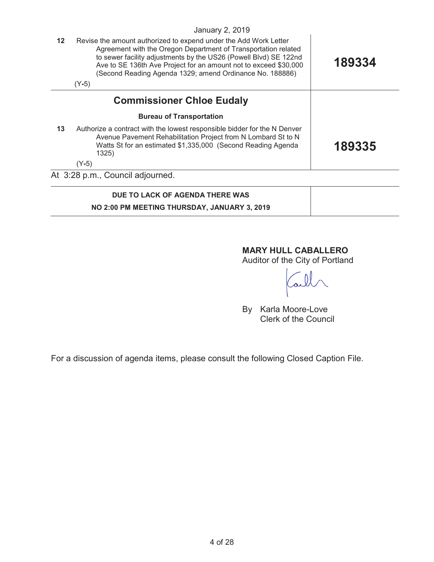|         | <b>January 2, 2019</b>                                                                                                                                                                                                                                                                                                                            |        |
|---------|---------------------------------------------------------------------------------------------------------------------------------------------------------------------------------------------------------------------------------------------------------------------------------------------------------------------------------------------------|--------|
| $12 \,$ | Revise the amount authorized to expend under the Add Work Letter<br>Agreement with the Oregon Department of Transportation related<br>to sewer facility adjustments by the US26 (Powell Blvd) SE 122nd<br>Ave to SE 136th Ave Project for an amount not to exceed \$30,000<br>(Second Reading Agenda 1329; amend Ordinance No. 188886)<br>$(Y-5)$ | 189334 |
|         | <b>Commissioner Chloe Eudaly</b>                                                                                                                                                                                                                                                                                                                  |        |
|         | <b>Bureau of Transportation</b>                                                                                                                                                                                                                                                                                                                   |        |
| 13      | Authorize a contract with the lowest responsible bidder for the N Denver<br>Avenue Pavement Rehabilitation Project from N Lombard St to N<br>Watts St for an estimated \$1,335,000 (Second Reading Agenda<br>1325)                                                                                                                                | 189335 |
|         | $(Y-5)$                                                                                                                                                                                                                                                                                                                                           |        |
|         | At 3:28 p.m., Council adjourned.                                                                                                                                                                                                                                                                                                                  |        |
|         | DUE TO LACK OF AGENDA THERE WAS                                                                                                                                                                                                                                                                                                                   |        |
|         | NO 2:00 PM MEETING THURSDAY, JANUARY 3, 2019                                                                                                                                                                                                                                                                                                      |        |

## **MARY HULL CABALLERO**

Auditor of the City of Portland

By Karla Moore-Love Clerk of the Council

For a discussion of agenda items, please consult the following Closed Caption File.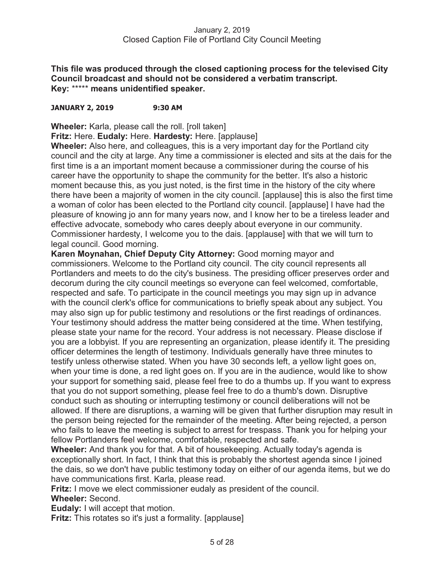**This file was produced through the closed captioning process for the televised City Council broadcast and should not be considered a verbatim transcript. Key:** \*\*\*\*\* **means unidentified speaker.** 

#### **JANUARY 2, 2019 9:30 AM**

**Wheeler:** Karla, please call the roll. [roll taken]

**Fritz:** Here. **Eudaly:** Here. **Hardesty:** Here. [applause]

**Wheeler:** Also here, and colleagues, this is a very important day for the Portland city council and the city at large. Any time a commissioner is elected and sits at the dais for the first time is a an important moment because a commissioner during the course of his career have the opportunity to shape the community for the better. It's also a historic moment because this, as you just noted, is the first time in the history of the city where there have been a majority of women in the city council. [applause] this is also the first time a woman of color has been elected to the Portland city council. [applause] I have had the pleasure of knowing jo ann for many years now, and I know her to be a tireless leader and effective advocate, somebody who cares deeply about everyone in our community. Commissioner hardesty, I welcome you to the dais. [applause] with that we will turn to legal council. Good morning.

**Karen Moynahan, Chief Deputy City Attorney:** Good morning mayor and commissioners. Welcome to the Portland city council. The city council represents all Portlanders and meets to do the city's business. The presiding officer preserves order and decorum during the city council meetings so everyone can feel welcomed, comfortable, respected and safe. To participate in the council meetings you may sign up in advance with the council clerk's office for communications to briefly speak about any subject. You may also sign up for public testimony and resolutions or the first readings of ordinances. Your testimony should address the matter being considered at the time. When testifying, please state your name for the record. Your address is not necessary. Please disclose if you are a lobbyist. If you are representing an organization, please identify it. The presiding officer determines the length of testimony. Individuals generally have three minutes to testify unless otherwise stated. When you have 30 seconds left, a yellow light goes on, when your time is done, a red light goes on. If you are in the audience, would like to show your support for something said, please feel free to do a thumbs up. If you want to express that you do not support something, please feel free to do a thumb's down. Disruptive conduct such as shouting or interrupting testimony or council deliberations will not be allowed. If there are disruptions, a warning will be given that further disruption may result in the person being rejected for the remainder of the meeting. After being rejected, a person who fails to leave the meeting is subject to arrest for trespass. Thank you for helping your fellow Portlanders feel welcome, comfortable, respected and safe.

**Wheeler:** And thank you for that. A bit of housekeeping. Actually today's agenda is exceptionally short. In fact, I think that this is probably the shortest agenda since I joined the dais, so we don't have public testimony today on either of our agenda items, but we do have communications first. Karla, please read.

**Fritz:** I move we elect commissioner eudaly as president of the council.

#### **Wheeler:** Second.

**Eudaly:** I will accept that motion.

**Fritz:** This rotates so it's just a formality. [applause]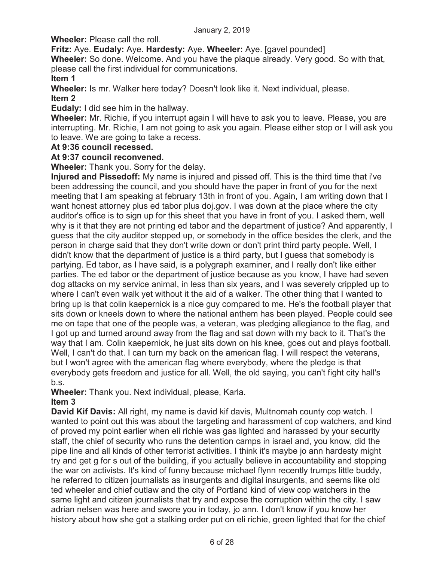**Wheeler:** Please call the roll.

**Fritz:** Aye. **Eudaly:** Aye. **Hardesty:** Aye. **Wheeler:** Aye. [gavel pounded]

**Wheeler:** So done. Welcome. And you have the plaque already. Very good. So with that, please call the first individual for communications.

**Item 1** 

**Wheeler:** Is mr. Walker here today? Doesn't look like it. Next individual, please. **Item 2** 

**Eudaly:** I did see him in the hallway.

**Wheeler:** Mr. Richie, if you interrupt again I will have to ask you to leave. Please, you are interrupting. Mr. Richie, I am not going to ask you again. Please either stop or I will ask you to leave. We are going to take a recess.

#### **At 9:36 council recessed.**

#### **At 9:37 council reconvened.**

**Wheeler:** Thank you. Sorry for the delay.

**Injured and Pissedoff:** My name is injured and pissed off. This is the third time that i've been addressing the council, and you should have the paper in front of you for the next meeting that I am speaking at february 13th in front of you. Again, I am writing down that I want honest attorney plus ed tabor plus doj.gov. I was down at the place where the city auditor's office is to sign up for this sheet that you have in front of you. I asked them, well why is it that they are not printing ed tabor and the department of justice? And apparently, I guess that the city auditor stepped up, or somebody in the office besides the clerk, and the person in charge said that they don't write down or don't print third party people. Well, I didn't know that the department of justice is a third party, but I guess that somebody is partying. Ed tabor, as I have said, is a polygraph examiner, and I really don't like either parties. The ed tabor or the department of justice because as you know, I have had seven dog attacks on my service animal, in less than six years, and I was severely crippled up to where I can't even walk yet without it the aid of a walker. The other thing that I wanted to bring up is that colin kaepernick is a nice guy compared to me. He's the football player that sits down or kneels down to where the national anthem has been played. People could see me on tape that one of the people was, a veteran, was pledging allegiance to the flag, and I got up and turned around away from the flag and sat down with my back to it. That's the way that I am. Colin kaepernick, he just sits down on his knee, goes out and plays football. Well, I can't do that. I can turn my back on the american flag. I will respect the veterans, but I won't agree with the american flag where everybody, where the pledge is that everybody gets freedom and justice for all. Well, the old saying, you can't fight city hall's b.s.

**Wheeler:** Thank you. Next individual, please, Karla.

## **Item 3**

**David Kif Davis:** All right, my name is david kif davis, Multnomah county cop watch. I wanted to point out this was about the targeting and harassment of cop watchers, and kind of proved my point earlier when eli richie was gas lighted and harassed by your security staff, the chief of security who runs the detention camps in israel and, you know, did the pipe line and all kinds of other terrorist activities. I think it's maybe jo ann hardesty might try and get g for s out of the building, if you actually believe in accountability and stopping the war on activists. It's kind of funny because michael flynn recently trumps little buddy, he referred to citizen journalists as insurgents and digital insurgents, and seems like old ted wheeler and chief outlaw and the city of Portland kind of view cop watchers in the same light and citizen journalists that try and expose the corruption within the city. I saw adrian nelsen was here and swore you in today, jo ann. I don't know if you know her history about how she got a stalking order put on eli richie, green lighted that for the chief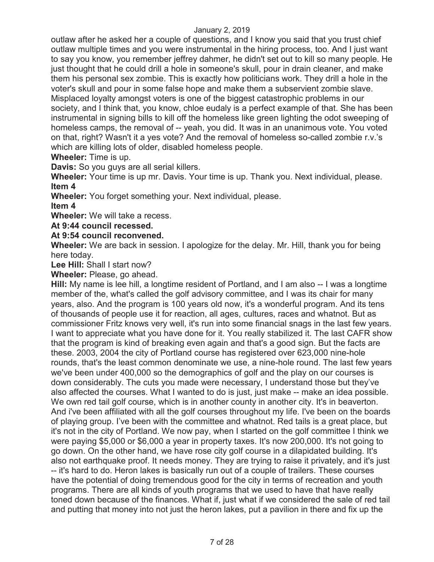outlaw after he asked her a couple of questions, and I know you said that you trust chief outlaw multiple times and you were instrumental in the hiring process, too. And I just want to say you know, you remember jeffrey dahmer, he didn't set out to kill so many people. He just thought that he could drill a hole in someone's skull, pour in drain cleaner, and make them his personal sex zombie. This is exactly how politicians work. They drill a hole in the voter's skull and pour in some false hope and make them a subservient zombie slave. Misplaced loyalty amongst voters is one of the biggest catastrophic problems in our society, and I think that, you know, chloe eudaly is a perfect example of that. She has been instrumental in signing bills to kill off the homeless like green lighting the odot sweeping of homeless camps, the removal of -- yeah, you did. It was in an unanimous vote. You voted on that, right? Wasn't it a yes vote? And the removal of homeless so-called zombie r.v.'s which are killing lots of older, disabled homeless people.

**Wheeler:** Time is up.

**Davis:** So you guys are all serial killers.

**Wheeler:** Your time is up mr. Davis. Your time is up. Thank you. Next individual, please. **Item 4** 

**Wheeler:** You forget something your. Next individual, please.

**Item 4**

**Wheeler:** We will take a recess.

**At 9:44 council recessed.** 

#### **At 9:54 council reconvened.**

**Wheeler:** We are back in session. I apologize for the delay. Mr. Hill, thank you for being here today.

**Lee Hill:** Shall I start now?

**Wheeler:** Please, go ahead.

**Hill:** My name is lee hill, a longtime resident of Portland, and I am also -- I was a longtime member of the, what's called the golf advisory committee, and I was its chair for many years, also. And the program is 100 years old now, it's a wonderful program. And its tens of thousands of people use it for reaction, all ages, cultures, races and whatnot. But as commissioner Fritz knows very well, it's run into some financial snags in the last few years. I want to appreciate what you have done for it. You really stabilized it. The last CAFR show that the program is kind of breaking even again and that's a good sign. But the facts are these. 2003, 2004 the city of Portland course has registered over 623,000 nine-hole rounds, that's the least common denominate we use, a nine-hole round. The last few years we've been under 400,000 so the demographics of golf and the play on our courses is down considerably. The cuts you made were necessary, I understand those but they've also affected the courses. What I wanted to do is just, just make -- make an idea possible. We own red tail golf course, which is in another county in another city. It's in beaverton. And i've been affiliated with all the golf courses throughout my life. I've been on the boards of playing group. I've been with the committee and whatnot. Red tails is a great place, but it's not in the city of Portland. We now pay, when I started on the golf committee I think we were paying \$5,000 or \$6,000 a year in property taxes. It's now 200,000. It's not going to go down. On the other hand, we have rose city golf course in a dilapidated building. It's also not earthquake proof. It needs money. They are trying to raise it privately, and it's just -- it's hard to do. Heron lakes is basically run out of a couple of trailers. These courses have the potential of doing tremendous good for the city in terms of recreation and youth programs. There are all kinds of youth programs that we used to have that have really toned down because of the finances. What if, just what if we considered the sale of red tail and putting that money into not just the heron lakes, put a pavilion in there and fix up the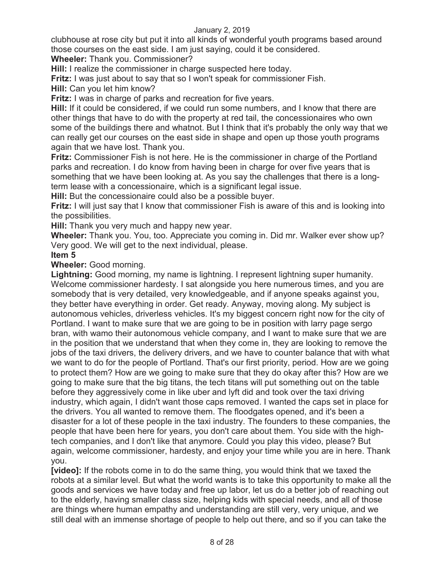clubhouse at rose city but put it into all kinds of wonderful youth programs based around those courses on the east side. I am just saying, could it be considered.

**Wheeler:** Thank you. Commissioner?

**Hill:** I realize the commissioner in charge suspected here today.

**Fritz:** I was just about to say that so I won't speak for commissioner Fish.

**Hill:** Can you let him know?

**Fritz:** I was in charge of parks and recreation for five years.

**Hill:** If it could be considered, if we could run some numbers, and I know that there are other things that have to do with the property at red tail, the concessionaires who own some of the buildings there and whatnot. But I think that it's probably the only way that we can really get our courses on the east side in shape and open up those youth programs again that we have lost. Thank you.

**Fritz:** Commissioner Fish is not here. He is the commissioner in charge of the Portland parks and recreation. I do know from having been in charge for over five years that is something that we have been looking at. As you say the challenges that there is a longterm lease with a concessionaire, which is a significant legal issue.

**Hill:** But the concessionaire could also be a possible buyer.

**Fritz:** I will just say that I know that commissioner Fish is aware of this and is looking into the possibilities.

**Hill:** Thank you very much and happy new year.

**Wheeler:** Thank you. You, too. Appreciate you coming in. Did mr. Walker ever show up? Very good. We will get to the next individual, please.

#### **Item 5**

**Wheeler:** Good morning.

**Lightning:** Good morning, my name is lightning. I represent lightning super humanity. Welcome commissioner hardesty. I sat alongside you here numerous times, and you are somebody that is very detailed, very knowledgeable, and if anyone speaks against you, they better have everything in order. Get ready. Anyway, moving along. My subject is autonomous vehicles, driverless vehicles. It's my biggest concern right now for the city of Portland. I want to make sure that we are going to be in position with larry page sergo bran, with wamo their autonomous vehicle company, and I want to make sure that we are in the position that we understand that when they come in, they are looking to remove the jobs of the taxi drivers, the delivery drivers, and we have to counter balance that with what we want to do for the people of Portland. That's our first priority, period. How are we going to protect them? How are we going to make sure that they do okay after this? How are we going to make sure that the big titans, the tech titans will put something out on the table before they aggressively come in like uber and lyft did and took over the taxi driving industry, which again, I didn't want those caps removed. I wanted the caps set in place for the drivers. You all wanted to remove them. The floodgates opened, and it's been a disaster for a lot of these people in the taxi industry. The founders to these companies, the people that have been here for years, you don't care about them. You side with the hightech companies, and I don't like that anymore. Could you play this video, please? But again, welcome commissioner, hardesty, and enjoy your time while you are in here. Thank you.

**[video]:** If the robots come in to do the same thing, you would think that we taxed the robots at a similar level. But what the world wants is to take this opportunity to make all the goods and services we have today and free up labor, let us do a better job of reaching out to the elderly, having smaller class size, helping kids with special needs, and all of those are things where human empathy and understanding are still very, very unique, and we still deal with an immense shortage of people to help out there, and so if you can take the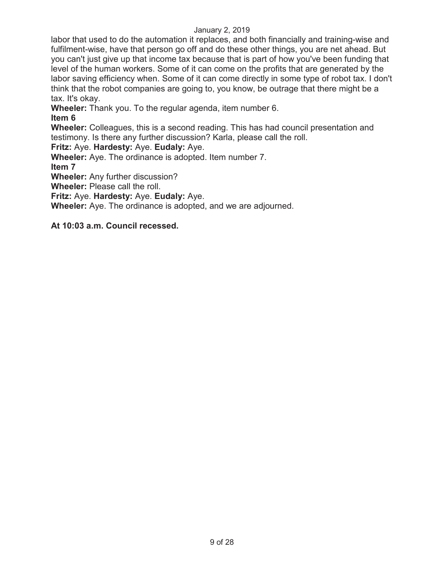labor that used to do the automation it replaces, and both financially and training-wise and fulfilment-wise, have that person go off and do these other things, you are net ahead. But you can't just give up that income tax because that is part of how you've been funding that level of the human workers. Some of it can come on the profits that are generated by the labor saving efficiency when. Some of it can come directly in some type of robot tax. I don't think that the robot companies are going to, you know, be outrage that there might be a tax. It's okay.

**Wheeler:** Thank you. To the regular agenda, item number 6.

### **Item 6**

**Wheeler:** Colleagues, this is a second reading. This has had council presentation and testimony. Is there any further discussion? Karla, please call the roll.

**Fritz:** Aye. **Hardesty:** Aye. **Eudaly:** Aye.

**Wheeler:** Aye. The ordinance is adopted. Item number 7.

**Item 7** 

**Wheeler:** Any further discussion?

**Wheeler:** Please call the roll.

**Fritz:** Aye. **Hardesty:** Aye. **Eudaly:** Aye.

**Wheeler:** Aye. The ordinance is adopted, and we are adjourned.

**At 10:03 a.m. Council recessed.**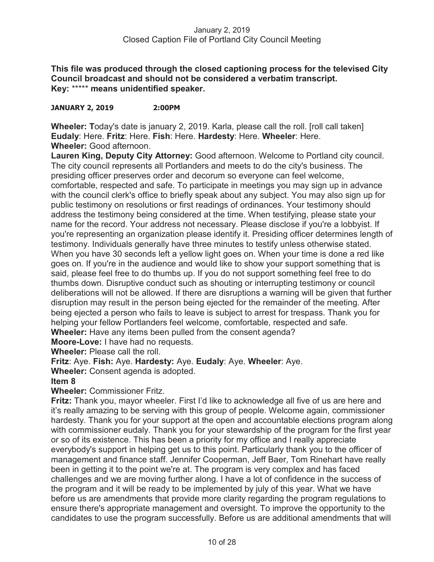**This file was produced through the closed captioning process for the televised City Council broadcast and should not be considered a verbatim transcript. Key:** \*\*\*\*\* **means unidentified speaker.** 

#### **JANUARY 2, 2019 2:00PM**

**Wheeler: T**oday's date is january 2, 2019. Karla, please call the roll. [roll call taken] **Eudaly**: Here. **Fritz**: Here. **Fish**: Here. **Hardesty**: Here. **Wheeler**: Here. **Wheeler:** Good afternoon.

**Lauren King, Deputy City Attorney:** Good afternoon. Welcome to Portland city council. The city council represents all Portlanders and meets to do the city's business. The presiding officer preserves order and decorum so everyone can feel welcome, comfortable, respected and safe. To participate in meetings you may sign up in advance with the council clerk's office to briefly speak about any subject. You may also sign up for public testimony on resolutions or first readings of ordinances. Your testimony should address the testimony being considered at the time. When testifying, please state your name for the record. Your address not necessary. Please disclose if you're a lobbyist. If you're representing an organization please identify it. Presiding officer determines length of testimony. Individuals generally have three minutes to testify unless otherwise stated. When you have 30 seconds left a yellow light goes on. When your time is done a red like goes on. If you're in the audience and would like to show your support something that is said, please feel free to do thumbs up. If you do not support something feel free to do thumbs down. Disruptive conduct such as shouting or interrupting testimony or council deliberations will not be allowed. If there are disruptions a warning will be given that further disruption may result in the person being ejected for the remainder of the meeting. After being ejected a person who fails to leave is subject to arrest for trespass. Thank you for helping your fellow Portlanders feel welcome, comfortable, respected and safe. **Wheeler:** Have any items been pulled from the consent agenda?

**Moore-Love:** I have had no requests.

**Wheeler:** Please call the roll.

#### **Fritz**: Aye. **Fish:** Aye. **Hardesty:** Aye. **Eudaly**: Aye. **Wheeler**: Aye.

**Wheeler:** Consent agenda is adopted.

#### **Item 8**

**Wheeler:** Commissioner Fritz.

**Fritz:** Thank you, mayor wheeler. First I'd like to acknowledge all five of us are here and it's really amazing to be serving with this group of people. Welcome again, commissioner hardesty. Thank you for your support at the open and accountable elections program along with commissioner eudaly. Thank you for your stewardship of the program for the first year or so of its existence. This has been a priority for my office and I really appreciate everybody's support in helping get us to this point. Particularly thank you to the officer of management and finance staff. Jennifer Cooperman, Jeff Baer, Tom Rinehart have really been in getting it to the point we're at. The program is very complex and has faced challenges and we are moving further along. I have a lot of confidence in the success of the program and it will be ready to be implemented by july of this year. What we have before us are amendments that provide more clarity regarding the program regulations to ensure there's appropriate management and oversight. To improve the opportunity to the candidates to use the program successfully. Before us are additional amendments that will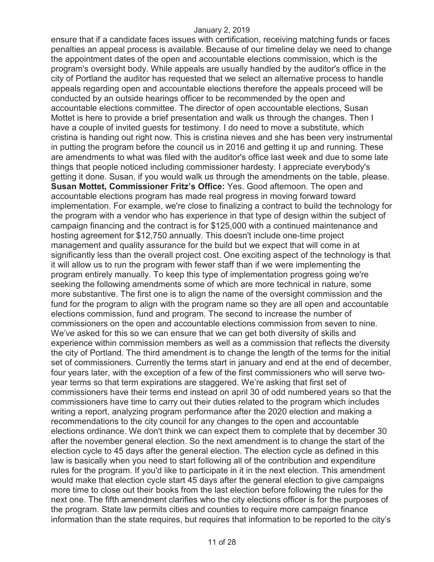ensure that if a candidate faces issues with certification, receiving matching funds or faces penalties an appeal process is available. Because of our timeline delay we need to change the appointment dates of the open and accountable elections commission, which is the program's oversight body. While appeals are usually handled by the auditor's office in the city of Portland the auditor has requested that we select an alternative process to handle appeals regarding open and accountable elections therefore the appeals proceed will be conducted by an outside hearings officer to be recommended by the open and accountable elections committee. The director of open accountable elections, Susan Mottet is here to provide a brief presentation and walk us through the changes. Then I have a couple of invited guests for testimony. I do need to move a substitute, which cristina is handing out right now. This is cristina nieves and she has been very instrumental in putting the program before the council us in 2016 and getting it up and running. These are amendments to what was filed with the auditor's office last week and due to some late things that people noticed including commissioner hardesty. I appreciate everybody's getting it done. Susan, if you would walk us through the amendments on the table, please. **Susan Mottet, Commissioner Fritz's Office:** Yes. Good afternoon. The open and accountable elections program has made real progress in moving forward toward implementation. For example, we're close to finalizing a contract to build the technology for the program with a vendor who has experience in that type of design within the subject of campaign financing and the contract is for \$125,000 with a continued maintenance and hosting agreement for \$12,750 annually. This doesn't include one-time project management and quality assurance for the build but we expect that will come in at significantly less than the overall project cost. One exciting aspect of the technology is that it will allow us to run the program with fewer staff than if we were implementing the program entirely manually. To keep this type of implementation progress going we're seeking the following amendments some of which are more technical in nature, some more substantive. The first one is to align the name of the oversight commission and the fund for the program to align with the program name so they are all open and accountable elections commission, fund and program. The second to increase the number of commissioners on the open and accountable elections commission from seven to nine. We've asked for this so we can ensure that we can get both diversity of skills and experience within commission members as well as a commission that reflects the diversity the city of Portland. The third amendment is to change the length of the terms for the initial set of commissioners. Currently the terms start in january and end at the end of december, four years later, with the exception of a few of the first commissioners who will serve twoyear terms so that term expirations are staggered. We're asking that first set of commissioners have their terms end instead on april 30 of odd numbered years so that the commissioners have time to carry out their duties related to the program which includes writing a report, analyzing program performance after the 2020 election and making a recommendations to the city council for any changes to the open and accountable elections ordinance. We don't think we can expect them to complete that by december 30 after the november general election. So the next amendment is to change the start of the election cycle to 45 days after the general election. The election cycle as defined in this law is basically when you need to start following all of the contribution and expenditure rules for the program. If you'd like to participate in it in the next election. This amendment would make that election cycle start 45 days after the general election to give campaigns more time to close out their books from the last election before following the rules for the next one. The fifth amendment clarifies who the city elections officer is for the purposes of the program. State law permits cities and counties to require more campaign finance information than the state requires, but requires that information to be reported to the city's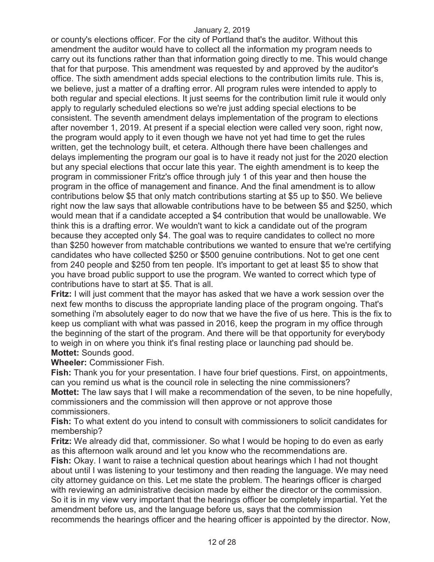or county's elections officer. For the city of Portland that's the auditor. Without this amendment the auditor would have to collect all the information my program needs to carry out its functions rather than that information going directly to me. This would change that for that purpose. This amendment was requested by and approved by the auditor's office. The sixth amendment adds special elections to the contribution limits rule. This is, we believe, just a matter of a drafting error. All program rules were intended to apply to both regular and special elections. It just seems for the contribution limit rule it would only apply to regularly scheduled elections so we're just adding special elections to be consistent. The seventh amendment delays implementation of the program to elections after november 1, 2019. At present if a special election were called very soon, right now, the program would apply to it even though we have not yet had time to get the rules written, get the technology built, et cetera. Although there have been challenges and delays implementing the program our goal is to have it ready not just for the 2020 election but any special elections that occur late this year. The eighth amendment is to keep the program in commissioner Fritz's office through july 1 of this year and then house the program in the office of management and finance. And the final amendment is to allow contributions below \$5 that only match contributions starting at \$5 up to \$50. We believe right now the law says that allowable contributions have to be between \$5 and \$250, which would mean that if a candidate accepted a \$4 contribution that would be unallowable. We think this is a drafting error. We wouldn't want to kick a candidate out of the program because they accepted only \$4. The goal was to require candidates to collect no more than \$250 however from matchable contributions we wanted to ensure that we're certifying candidates who have collected \$250 or \$500 genuine contributions. Not to get one cent from 240 people and \$250 from ten people. It's important to get at least \$5 to show that you have broad public support to use the program. We wanted to correct which type of contributions have to start at \$5. That is all.

**Fritz:** I will just comment that the mayor has asked that we have a work session over the next few months to discuss the appropriate landing place of the program ongoing. That's something i'm absolutely eager to do now that we have the five of us here. This is the fix to keep us compliant with what was passed in 2016, keep the program in my office through the beginning of the start of the program. And there will be that opportunity for everybody to weigh in on where you think it's final resting place or launching pad should be. **Mottet:** Sounds good.

**Wheeler:** Commissioner Fish.

**Fish:** Thank you for your presentation. I have four brief questions. First, on appointments, can you remind us what is the council role in selecting the nine commissioners?

**Mottet:** The law says that I will make a recommendation of the seven, to be nine hopefully, commissioners and the commission will then approve or not approve those commissioners.

**Fish:** To what extent do you intend to consult with commissioners to solicit candidates for membership?

**Fritz:** We already did that, commissioner. So what I would be hoping to do even as early as this afternoon walk around and let you know who the recommendations are.

**Fish:** Okay. I want to raise a technical question about hearings which I had not thought about until I was listening to your testimony and then reading the language. We may need city attorney guidance on this. Let me state the problem. The hearings officer is charged with reviewing an administrative decision made by either the director or the commission. So it is in my view very important that the hearings officer be completely impartial. Yet the amendment before us, and the language before us, says that the commission recommends the hearings officer and the hearing officer is appointed by the director. Now,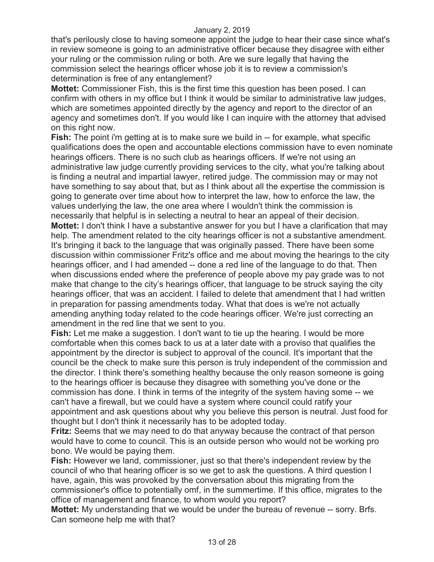that's perilously close to having someone appoint the judge to hear their case since what's in review someone is going to an administrative officer because they disagree with either your ruling or the commission ruling or both. Are we sure legally that having the commission select the hearings officer whose job it is to review a commission's determination is free of any entanglement?

**Mottet:** Commissioner Fish, this is the first time this question has been posed. I can confirm with others in my office but I think it would be similar to administrative law judges, which are sometimes appointed directly by the agency and report to the director of an agency and sometimes don't. If you would like I can inquire with the attorney that advised on this right now.

**Fish:** The point i'm getting at is to make sure we build in -- for example, what specific qualifications does the open and accountable elections commission have to even nominate hearings officers. There is no such club as hearings officers. If we're not using an administrative law judge currently providing services to the city, what you're talking about is finding a neutral and impartial lawyer, retired judge. The commission may or may not have something to say about that, but as I think about all the expertise the commission is going to generate over time about how to interpret the law, how to enforce the law, the values underlying the law, the one area where I wouldn't think the commission is necessarily that helpful is in selecting a neutral to hear an appeal of their decision.

**Mottet:** I don't think I have a substantive answer for you but I have a clarification that may help. The amendment related to the city hearings officer is not a substantive amendment. It's bringing it back to the language that was originally passed. There have been some discussion within commissioner Fritz's office and me about moving the hearings to the city hearings officer, and I had amended -- done a red line of the language to do that. Then when discussions ended where the preference of people above my pay grade was to not make that change to the city's hearings officer, that language to be struck saying the city hearings officer, that was an accident. I failed to delete that amendment that I had written in preparation for passing amendments today. What that does is we're not actually amending anything today related to the code hearings officer. We're just correcting an amendment in the red line that we sent to you.

**Fish:** Let me make a suggestion. I don't want to tie up the hearing. I would be more comfortable when this comes back to us at a later date with a proviso that qualifies the appointment by the director is subject to approval of the council. It's important that the council be the check to make sure this person is truly independent of the commission and the director. I think there's something healthy because the only reason someone is going to the hearings officer is because they disagree with something you've done or the commission has done. I think in terms of the integrity of the system having some -- we can't have a firewall, but we could have a system where council could ratify your appointment and ask questions about why you believe this person is neutral. Just food for thought but I don't think it necessarily has to be adopted today.

**Fritz:** Seems that we may need to do that anyway because the contract of that person would have to come to council. This is an outside person who would not be working pro bono. We would be paying them.

**Fish:** However we land, commissioner, just so that there's independent review by the council of who that hearing officer is so we get to ask the questions. A third question I have, again, this was provoked by the conversation about this migrating from the commissioner's office to potentially omf, in the summertime. If this office, migrates to the office of management and finance, to whom would you report?

**Mottet:** My understanding that we would be under the bureau of revenue -- sorry. Brfs. Can someone help me with that?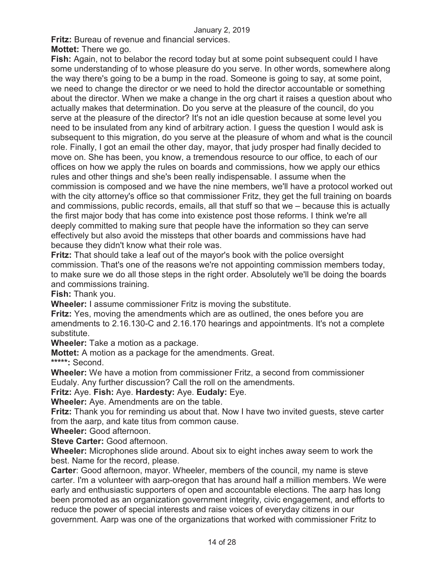**Fritz:** Bureau of revenue and financial services.

**Mottet:** There we go.

**Fish:** Again, not to belabor the record today but at some point subsequent could I have some understanding of to whose pleasure do you serve. In other words, somewhere along the way there's going to be a bump in the road. Someone is going to say, at some point, we need to change the director or we need to hold the director accountable or something about the director. When we make a change in the org chart it raises a question about who actually makes that determination. Do you serve at the pleasure of the council, do you serve at the pleasure of the director? It's not an idle question because at some level you need to be insulated from any kind of arbitrary action. I guess the question I would ask is subsequent to this migration, do you serve at the pleasure of whom and what is the council role. Finally, I got an email the other day, mayor, that judy prosper had finally decided to move on. She has been, you know, a tremendous resource to our office, to each of our offices on how we apply the rules on boards and commissions, how we apply our ethics rules and other things and she's been really indispensable. I assume when the commission is composed and we have the nine members, we'll have a protocol worked out with the city attorney's office so that commissioner Fritz, they get the full training on boards and commissions, public records, emails, all that stuff so that we – because this is actually the first major body that has come into existence post those reforms. I think we're all deeply committed to making sure that people have the information so they can serve effectively but also avoid the missteps that other boards and commissions have had because they didn't know what their role was.

**Fritz:** That should take a leaf out of the mayor's book with the police oversight commission. That's one of the reasons we're not appointing commission members today, to make sure we do all those steps in the right order. Absolutely we'll be doing the boards and commissions training.

**Fish:** Thank you.

**Wheeler:** I assume commissioner Fritz is moving the substitute.

**Fritz:** Yes, moving the amendments which are as outlined, the ones before you are amendments to 2.16.130-C and 2.16.170 hearings and appointments. It's not a complete substitute.

**Wheeler:** Take a motion as a package.

**Mottet:** A motion as a package for the amendments. Great.

**\*\*\*\*\*:** Second.

**Wheeler:** We have a motion from commissioner Fritz, a second from commissioner Eudaly. Any further discussion? Call the roll on the amendments.

**Fritz:** Aye. **Fish:** Aye. **Hardesty:** Aye. **Eudaly:** Eye.

**Wheeler:** Aye. Amendments are on the table.

**Fritz:** Thank you for reminding us about that. Now I have two invited guests, steve carter from the aarp, and kate titus from common cause.

**Wheeler:** Good afternoon.

**Steve Carter:** Good afternoon.

**Wheeler:** Microphones slide around. About six to eight inches away seem to work the best. Name for the record, please.

**Carter**: Good afternoon, mayor. Wheeler, members of the council, my name is steve carter. I'm a volunteer with aarp-oregon that has around half a million members. We were early and enthusiastic supporters of open and accountable elections. The aarp has long been promoted as an organization government integrity, civic engagement, and efforts to reduce the power of special interests and raise voices of everyday citizens in our government. Aarp was one of the organizations that worked with commissioner Fritz to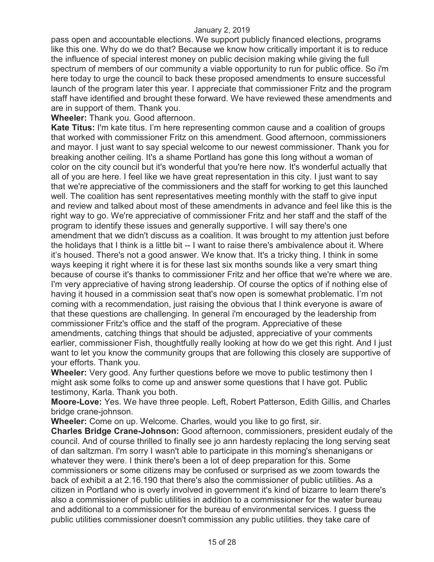pass open and accountable elections. We support publicly financed elections, programs like this one. Why do we do that? Because we know how critically important it is to reduce the influence of special interest money on public decision making while giving the full spectrum of members of our community a viable opportunity to run for public office. So i'm here today to urge the council to back these proposed amendments to ensure successful launch of the program later this year. I appreciate that commissioner Fritz and the program staff have identified and brought these forward. We have reviewed these amendments and are in support of them. Thank you.

**Wheeler:** Thank you. Good afternoon.

**Kate Titus:** I'm kate titus. I'm here representing common cause and a coalition of groups that worked with commissioner Fritz on this amendment. Good afternoon, commissioners and mayor. I just want to say special welcome to our newest commissioner. Thank you for breaking another ceiling. It's a shame Portland has gone this long without a woman of color on the city council but it's wonderful that you're here now. It's wonderful actually that all of you are here. I feel like we have great representation in this city. I just want to say that we're appreciative of the commissioners and the staff for working to get this launched well. The coalition has sent representatives meeting monthly with the staff to give input and review and talked about most of these amendments in advance and feel like this is the right way to go. We're appreciative of commissioner Fritz and her staff and the staff of the program to identify these issues and generally supportive. I will say there's one amendment that we didn't discuss as a coalition. It was brought to my attention just before the holidays that I think is a little bit -- I want to raise there's ambivalence about it. Where it's housed. There's not a good answer. We know that. It's a tricky thing. I think in some ways keeping it right where it is for these last six months sounds like a very smart thing because of course it's thanks to commissioner Fritz and her office that we're where we are. I'm very appreciative of having strong leadership. Of course the optics of if nothing else of having it housed in a commission seat that's now open is somewhat problematic. I'm not coming with a recommendation, just raising the obvious that I think everyone is aware of that these questions are challenging. In general i'm encouraged by the leadership from commissioner Fritz's office and the staff of the program. Appreciative of these amendments, catching things that should be adjusted, appreciative of your comments earlier, commissioner Fish, thoughtfully really looking at how do we get this right. And I just want to let you know the community groups that are following this closely are supportive of your efforts. Thank you.

**Wheeler:** Very good. Any further questions before we move to public testimony then I might ask some folks to come up and answer some questions that I have got. Public testimony, Karla. Thank you both.

**Moore-Love:** Yes. We have three people. Left, Robert Patterson, Edith Gillis, and Charles bridge crane-johnson.

**Wheeler:** Come on up. Welcome. Charles, would you like to go first, sir.

**Charles Bridge Crane-Johnson:** Good afternoon, commissioners, president eudaly of the council. And of course thrilled to finally see jo ann hardesty replacing the long serving seat of dan saltzman. I'm sorry I wasn't able to participate in this morning's shenanigans or whatever they were. I think there's been a lot of deep preparation for this. Some commissioners or some citizens may be confused or surprised as we zoom towards the back of exhibit a at 2.16.190 that there's also the commissioner of public utilities. As a citizen in Portland who is overly involved in government it's kind of bizarre to learn there's also a commissioner of public utilities in addition to a commissioner for the water bureau and additional to a commissioner for the bureau of environmental services. I guess the public utilities commissioner doesn't commission any public utilities. they take care of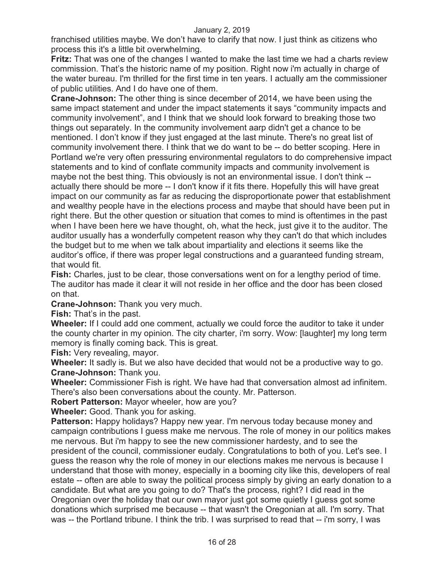franchised utilities maybe. We don't have to clarify that now. I just think as citizens who process this it's a little bit overwhelming.

**Fritz:** That was one of the changes I wanted to make the last time we had a charts review commission. That's the historic name of my position. Right now i'm actually in charge of the water bureau. I'm thrilled for the first time in ten years. I actually am the commissioner of public utilities. And I do have one of them.

**Crane-Johnson:** The other thing is since december of 2014, we have been using the same impact statement and under the impact statements it says "community impacts and community involvement", and I think that we should look forward to breaking those two things out separately. In the community involvement aarp didn't get a chance to be mentioned. I don't know if they just engaged at the last minute. There's no great list of community involvement there. I think that we do want to be -- do better scoping. Here in Portland we're very often pressuring environmental regulators to do comprehensive impact statements and to kind of conflate community impacts and community involvement is maybe not the best thing. This obviously is not an environmental issue. I don't think - actually there should be more -- I don't know if it fits there. Hopefully this will have great impact on our community as far as reducing the disproportionate power that establishment and wealthy people have in the elections process and maybe that should have been put in right there. But the other question or situation that comes to mind is oftentimes in the past when I have been here we have thought, oh, what the heck, just give it to the auditor. The auditor usually has a wonderfully competent reason why they can't do that which includes the budget but to me when we talk about impartiality and elections it seems like the auditor's office, if there was proper legal constructions and a guaranteed funding stream, that would fit.

**Fish:** Charles, just to be clear, those conversations went on for a lengthy period of time. The auditor has made it clear it will not reside in her office and the door has been closed on that.

**Crane-Johnson:** Thank you very much.

**Fish:** That's in the past.

**Wheeler:** If I could add one comment, actually we could force the auditor to take it under the county charter in my opinion. The city charter, i'm sorry. Wow: [laughter] my long term memory is finally coming back. This is great.

**Fish:** Very revealing, mayor.

**Wheeler:** It sadly is. But we also have decided that would not be a productive way to go. **Crane-Johnson:** Thank you.

**Wheeler:** Commissioner Fish is right. We have had that conversation almost ad infinitem. There's also been conversations about the county. Mr. Patterson.

**Robert Patterson:** Mayor wheeler, how are you?

**Wheeler:** Good. Thank you for asking.

**Patterson:** Happy holidays? Happy new year. I'm nervous today because money and campaign contributions I guess make me nervous. The role of money in our politics makes me nervous. But i'm happy to see the new commissioner hardesty, and to see the president of the council, commissioner eudaly. Congratulations to both of you. Let's see. I guess the reason why the role of money in our elections makes me nervous is because I understand that those with money, especially in a booming city like this, developers of real estate -- often are able to sway the political process simply by giving an early donation to a candidate. But what are you going to do? That's the process, right? I did read in the Oregonian over the holiday that our own mayor just got some quietly I guess got some donations which surprised me because -- that wasn't the Oregonian at all. I'm sorry. That was -- the Portland tribune. I think the trib. I was surprised to read that -- i'm sorry, I was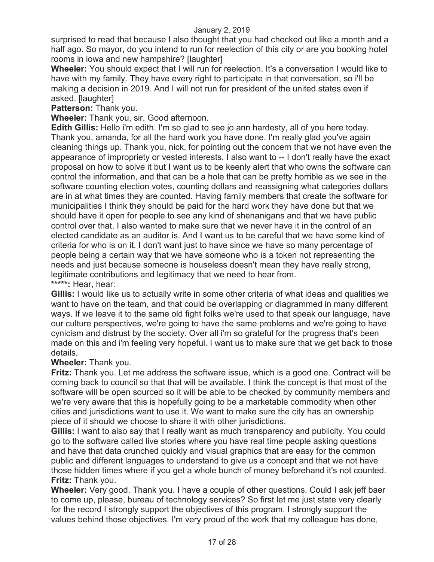surprised to read that because I also thought that you had checked out like a month and a half ago. So mayor, do you intend to run for reelection of this city or are you booking hotel rooms in iowa and new hampshire? [laughter]

**Wheeler:** You should expect that I will run for reelection. It's a conversation I would like to have with my family. They have every right to participate in that conversation, so i'll be making a decision in 2019. And I will not run for president of the united states even if asked. [laughter]

**Patterson:** Thank you.

**Wheeler:** Thank you, sir. Good afternoon.

**Edith Gillis:** Hello i'm edith. I'm so glad to see jo ann hardesty, all of you here today. Thank you, amanda, for all the hard work you have done. I'm really glad you've again cleaning things up. Thank you, nick, for pointing out the concern that we not have even the appearance of impropriety or vested interests. I also want to -- I don't really have the exact proposal on how to solve it but I want us to be keenly alert that who owns the software can control the information, and that can be a hole that can be pretty horrible as we see in the software counting election votes, counting dollars and reassigning what categories dollars are in at what times they are counted. Having family members that create the software for municipalities I think they should be paid for the hard work they have done but that we should have it open for people to see any kind of shenanigans and that we have public control over that. I also wanted to make sure that we never have it in the control of an elected candidate as an auditor is. And I want us to be careful that we have some kind of criteria for who is on it. I don't want just to have since we have so many percentage of people being a certain way that we have someone who is a token not representing the needs and just because someone is houseless doesn't mean they have really strong, legitimate contributions and legitimacy that we need to hear from. **\*\*\*\*\*:** Hear, hear:

**Gillis:** I would like us to actually write in some other criteria of what ideas and qualities we want to have on the team, and that could be overlapping or diagrammed in many different ways. If we leave it to the same old fight folks we're used to that speak our language, have our culture perspectives, we're going to have the same problems and we're going to have cynicism and distrust by the society. Over all i'm so grateful for the progress that's been made on this and i'm feeling very hopeful. I want us to make sure that we get back to those details.

#### **Wheeler:** Thank you.

**Fritz:** Thank you. Let me address the software issue, which is a good one. Contract will be coming back to council so that that will be available. I think the concept is that most of the software will be open sourced so it will be able to be checked by community members and we're very aware that this is hopefully going to be a marketable commodity when other cities and jurisdictions want to use it. We want to make sure the city has an ownership piece of it should we choose to share it with other jurisdictions.

**Gillis:** I want to also say that I really want as much transparency and publicity. You could go to the software called live stories where you have real time people asking questions and have that data crunched quickly and visual graphics that are easy for the common public and different languages to understand to give us a concept and that we not have those hidden times where if you get a whole bunch of money beforehand it's not counted. **Fritz:** Thank you.

**Wheeler:** Very good. Thank you. I have a couple of other questions. Could I ask jeff baer to come up, please, bureau of technology services? So first let me just state very clearly for the record I strongly support the objectives of this program. I strongly support the values behind those objectives. I'm very proud of the work that my colleague has done,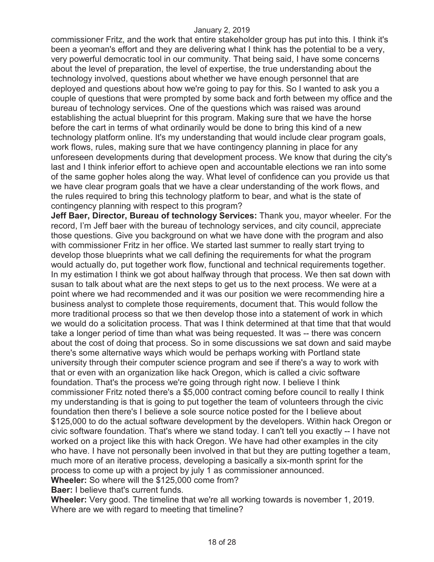commissioner Fritz, and the work that entire stakeholder group has put into this. I think it's been a yeoman's effort and they are delivering what I think has the potential to be a very, very powerful democratic tool in our community. That being said, I have some concerns about the level of preparation, the level of expertise, the true understanding about the technology involved, questions about whether we have enough personnel that are deployed and questions about how we're going to pay for this. So I wanted to ask you a couple of questions that were prompted by some back and forth between my office and the bureau of technology services. One of the questions which was raised was around establishing the actual blueprint for this program. Making sure that we have the horse before the cart in terms of what ordinarily would be done to bring this kind of a new technology platform online. It's my understanding that would include clear program goals, work flows, rules, making sure that we have contingency planning in place for any unforeseen developments during that development process. We know that during the city's last and I think inferior effort to achieve open and accountable elections we ran into some of the same gopher holes along the way. What level of confidence can you provide us that we have clear program goals that we have a clear understanding of the work flows, and the rules required to bring this technology platform to bear, and what is the state of contingency planning with respect to this program?

**Jeff Baer, Director, Bureau of technology Services:** Thank you, mayor wheeler. For the record, I'm Jeff baer with the bureau of technology services, and city council, appreciate those questions. Give you background on what we have done with the program and also with commissioner Fritz in her office. We started last summer to really start trying to develop those blueprints what we call defining the requirements for what the program would actually do, put together work flow, functional and technical requirements together. In my estimation I think we got about halfway through that process. We then sat down with susan to talk about what are the next steps to get us to the next process. We were at a point where we had recommended and it was our position we were recommending hire a business analyst to complete those requirements, document that. This would follow the more traditional process so that we then develop those into a statement of work in which we would do a solicitation process. That was I think determined at that time that that would take a longer period of time than what was being requested. It was -- there was concern about the cost of doing that process. So in some discussions we sat down and said maybe there's some alternative ways which would be perhaps working with Portland state university through their computer science program and see if there's a way to work with that or even with an organization like hack Oregon, which is called a civic software foundation. That's the process we're going through right now. I believe I think commissioner Fritz noted there's a \$5,000 contract coming before council to really I think my understanding is that is going to put together the team of volunteers through the civic foundation then there's I believe a sole source notice posted for the I believe about \$125,000 to do the actual software development by the developers. Within hack Oregon or civic software foundation. That's where we stand today. I can't tell you exactly -- I have not worked on a project like this with hack Oregon. We have had other examples in the city who have. I have not personally been involved in that but they are putting together a team, much more of an iterative process, developing a basically a six-month sprint for the process to come up with a project by july 1 as commissioner announced.

**Wheeler:** So where will the \$125,000 come from?

**Baer:** I believe that's current funds.

**Wheeler:** Very good. The timeline that we're all working towards is november 1, 2019. Where are we with regard to meeting that timeline?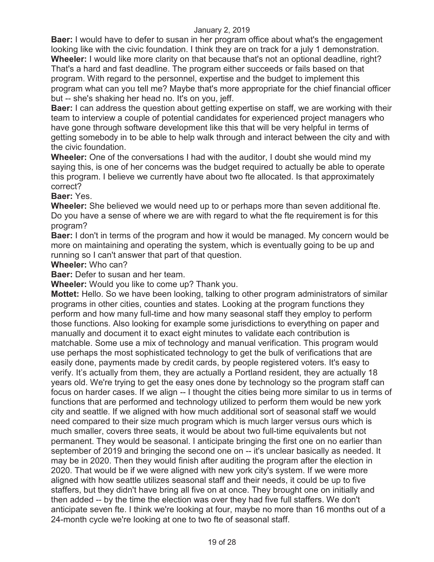**Baer:** I would have to defer to susan in her program office about what's the engagement looking like with the civic foundation. I think they are on track for a july 1 demonstration.

**Wheeler:** I would like more clarity on that because that's not an optional deadline, right? That's a hard and fast deadline. The program either succeeds or fails based on that program. With regard to the personnel, expertise and the budget to implement this program what can you tell me? Maybe that's more appropriate for the chief financial officer but -- she's shaking her head no. It's on you, jeff.

**Baer:** I can address the question about getting expertise on staff, we are working with their team to interview a couple of potential candidates for experienced project managers who have gone through software development like this that will be very helpful in terms of getting somebody in to be able to help walk through and interact between the city and with the civic foundation.

**Wheeler:** One of the conversations I had with the auditor, I doubt she would mind my saying this, is one of her concerns was the budget required to actually be able to operate this program. I believe we currently have about two fte allocated. Is that approximately correct?

#### **Baer:** Yes.

**Wheeler:** She believed we would need up to or perhaps more than seven additional fte. Do you have a sense of where we are with regard to what the fte requirement is for this program?

**Baer:** I don't in terms of the program and how it would be managed. My concern would be more on maintaining and operating the system, which is eventually going to be up and running so I can't answer that part of that question.

#### **Wheeler:** Who can?

**Baer:** Defer to susan and her team.

**Wheeler:** Would you like to come up? Thank you.

**Mottet:** Hello. So we have been looking, talking to other program administrators of similar programs in other cities, counties and states. Looking at the program functions they perform and how many full-time and how many seasonal staff they employ to perform those functions. Also looking for example some jurisdictions to everything on paper and manually and document it to exact eight minutes to validate each contribution is matchable. Some use a mix of technology and manual verification. This program would use perhaps the most sophisticated technology to get the bulk of verifications that are easily done, payments made by credit cards, by people registered voters. It's easy to verify. It's actually from them, they are actually a Portland resident, they are actually 18 years old. We're trying to get the easy ones done by technology so the program staff can focus on harder cases. If we align -- I thought the cities being more similar to us in terms of functions that are performed and technology utilized to perform them would be new york city and seattle. If we aligned with how much additional sort of seasonal staff we would need compared to their size much program which is much larger versus ours which is much smaller, covers three seats, it would be about two full-time equivalents but not permanent. They would be seasonal. I anticipate bringing the first one on no earlier than september of 2019 and bringing the second one on -- it's unclear basically as needed. It may be in 2020. Then they would finish after auditing the program after the election in 2020. That would be if we were aligned with new york city's system. If we were more aligned with how seattle utilizes seasonal staff and their needs, it could be up to five staffers, but they didn't have bring all five on at once. They brought one on initially and then added -- by the time the election was over they had five full staffers. We don't anticipate seven fte. I think we're looking at four, maybe no more than 16 months out of a 24-month cycle we're looking at one to two fte of seasonal staff.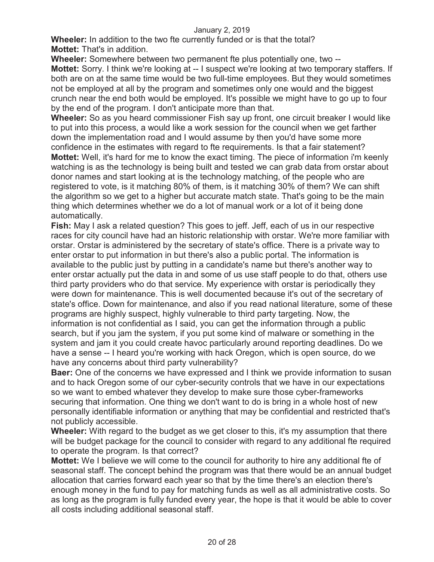**Wheeler:** In addition to the two fte currently funded or is that the total? **Mottet:** That's in addition.

**Wheeler:** Somewhere between two permanent fte plus potentially one, two --

**Mottet:** Sorry. I think we're looking at -- I suspect we're looking at two temporary staffers. If both are on at the same time would be two full-time employees. But they would sometimes not be employed at all by the program and sometimes only one would and the biggest crunch near the end both would be employed. It's possible we might have to go up to four by the end of the program. I don't anticipate more than that.

**Wheeler:** So as you heard commissioner Fish say up front, one circuit breaker I would like to put into this process, a would like a work session for the council when we get farther down the implementation road and I would assume by then you'd have some more confidence in the estimates with regard to fte requirements. Is that a fair statement? **Mottet:** Well, it's hard for me to know the exact timing. The piece of information i'm keenly watching is as the technology is being built and tested we can grab data from orstar about donor names and start looking at is the technology matching, of the people who are registered to vote, is it matching 80% of them, is it matching 30% of them? We can shift the algorithm so we get to a higher but accurate match state. That's going to be the main thing which determines whether we do a lot of manual work or a lot of it being done automatically.

**Fish:** May I ask a related question? This goes to jeff. Jeff, each of us in our respective races for city council have had an historic relationship with orstar. We're more familiar with orstar. Orstar is administered by the secretary of state's office. There is a private way to enter orstar to put information in but there's also a public portal. The information is available to the public just by putting in a candidate's name but there's another way to enter orstar actually put the data in and some of us use staff people to do that, others use third party providers who do that service. My experience with orstar is periodically they were down for maintenance. This is well documented because it's out of the secretary of state's office. Down for maintenance, and also if you read national literature, some of these programs are highly suspect, highly vulnerable to third party targeting. Now, the information is not confidential as I said, you can get the information through a public search, but if you jam the system, if you put some kind of malware or something in the system and jam it you could create havoc particularly around reporting deadlines. Do we have a sense -- I heard you're working with hack Oregon, which is open source, do we have any concerns about third party vulnerability?

**Baer:** One of the concerns we have expressed and I think we provide information to susan and to hack Oregon some of our cyber-security controls that we have in our expectations so we want to embed whatever they develop to make sure those cyber-frameworks securing that information. One thing we don't want to do is bring in a whole host of new personally identifiable information or anything that may be confidential and restricted that's not publicly accessible.

**Wheeler:** With regard to the budget as we get closer to this, it's my assumption that there will be budget package for the council to consider with regard to any additional fte required to operate the program. Is that correct?

**Mottet:** We I believe we will come to the council for authority to hire any additional fte of seasonal staff. The concept behind the program was that there would be an annual budget allocation that carries forward each year so that by the time there's an election there's enough money in the fund to pay for matching funds as well as all administrative costs. So as long as the program is fully funded every year, the hope is that it would be able to cover all costs including additional seasonal staff.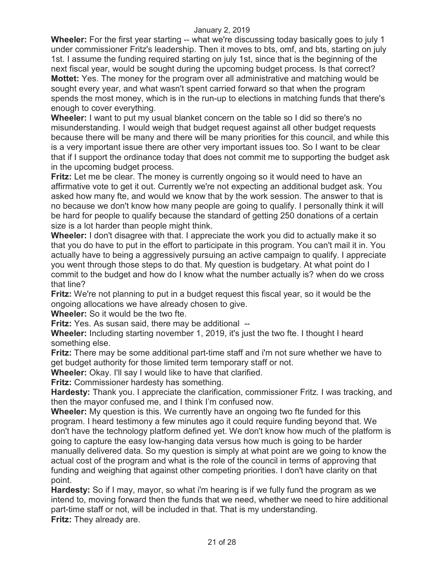**Wheeler:** For the first year starting -- what we're discussing today basically goes to july 1 under commissioner Fritz's leadership. Then it moves to bts, omf, and bts, starting on july 1st. I assume the funding required starting on july 1st, since that is the beginning of the next fiscal year, would be sought during the upcoming budget process. Is that correct? **Mottet:** Yes. The money for the program over all administrative and matching would be sought every year, and what wasn't spent carried forward so that when the program spends the most money, which is in the run-up to elections in matching funds that there's enough to cover everything.

**Wheeler:** I want to put my usual blanket concern on the table so I did so there's no misunderstanding. I would weigh that budget request against all other budget requests because there will be many and there will be many priorities for this council, and while this is a very important issue there are other very important issues too. So I want to be clear that if I support the ordinance today that does not commit me to supporting the budget ask in the upcoming budget process.

**Fritz:** Let me be clear. The money is currently ongoing so it would need to have an affirmative vote to get it out. Currently we're not expecting an additional budget ask. You asked how many fte, and would we know that by the work session. The answer to that is no because we don't know how many people are going to qualify. I personally think it will be hard for people to qualify because the standard of getting 250 donations of a certain size is a lot harder than people might think.

**Wheeler:** I don't disagree with that. I appreciate the work you did to actually make it so that you do have to put in the effort to participate in this program. You can't mail it in. You actually have to being a aggressively pursuing an active campaign to qualify. I appreciate you went through those steps to do that. My question is budgetary. At what point do I commit to the budget and how do I know what the number actually is? when do we cross that line?

**Fritz:** We're not planning to put in a budget request this fiscal year, so it would be the ongoing allocations we have already chosen to give.

**Wheeler:** So it would be the two fte.

**Fritz:** Yes. As susan said, there may be additional --

**Wheeler:** Including starting november 1, 2019, it's just the two fte. I thought I heard something else.

**Fritz:** There may be some additional part-time staff and i'm not sure whether we have to get budget authority for those limited term temporary staff or not.

**Wheeler:** Okay. I'll say I would like to have that clarified.

**Fritz:** Commissioner hardesty has something.

**Hardesty:** Thank you. I appreciate the clarification, commissioner Fritz. I was tracking, and then the mayor confused me, and I think I'm confused now.

**Wheeler:** My question is this. We currently have an ongoing two fte funded for this program. I heard testimony a few minutes ago it could require funding beyond that. We don't have the technology platform defined yet. We don't know how much of the platform is going to capture the easy low-hanging data versus how much is going to be harder manually delivered data. So my question is simply at what point are we going to know the actual cost of the program and what is the role of the council in terms of approving that funding and weighing that against other competing priorities. I don't have clarity on that point.

**Hardesty:** So if I may, mayor, so what i'm hearing is if we fully fund the program as we intend to, moving forward then the funds that we need, whether we need to hire additional part-time staff or not, will be included in that. That is my understanding. **Fritz:** They already are.

21 of 28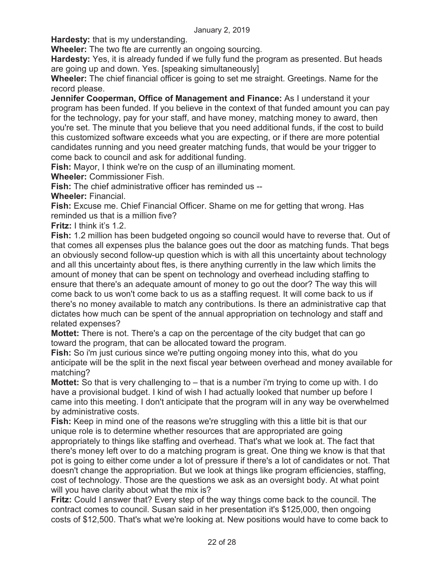**Hardesty:** that is my understanding.

**Wheeler:** The two fte are currently an ongoing sourcing.

**Hardesty:** Yes, it is already funded if we fully fund the program as presented. But heads are going up and down. Yes. [speaking simultaneously]

**Wheeler:** The chief financial officer is going to set me straight. Greetings. Name for the record please.

**Jennifer Cooperman, Office of Management and Finance:** As I understand it your program has been funded. If you believe in the context of that funded amount you can pay for the technology, pay for your staff, and have money, matching money to award, then you're set. The minute that you believe that you need additional funds, if the cost to build this customized software exceeds what you are expecting, or if there are more potential candidates running and you need greater matching funds, that would be your trigger to come back to council and ask for additional funding.

**Fish:** Mayor, I think we're on the cusp of an illuminating moment.

**Wheeler:** Commissioner Fish.

**Fish:** The chief administrative officer has reminded us --

**Wheeler:** Financial.

**Fish:** Excuse me. Chief Financial Officer. Shame on me for getting that wrong. Has reminded us that is a million five?

**Fritz:** I think it's 1.2.

**Fish:** 1.2 million has been budgeted ongoing so council would have to reverse that. Out of that comes all expenses plus the balance goes out the door as matching funds. That begs an obviously second follow-up question which is with all this uncertainty about technology and all this uncertainty about ftes, is there anything currently in the law which limits the amount of money that can be spent on technology and overhead including staffing to ensure that there's an adequate amount of money to go out the door? The way this will come back to us won't come back to us as a staffing request. It will come back to us if there's no money available to match any contributions. Is there an administrative cap that dictates how much can be spent of the annual appropriation on technology and staff and related expenses?

**Mottet:** There is not. There's a cap on the percentage of the city budget that can go toward the program, that can be allocated toward the program.

**Fish:** So i'm just curious since we're putting ongoing money into this, what do you anticipate will be the split in the next fiscal year between overhead and money available for matching?

**Mottet:** So that is very challenging to – that is a number i'm trying to come up with. I do have a provisional budget. I kind of wish I had actually looked that number up before I came into this meeting. I don't anticipate that the program will in any way be overwhelmed by administrative costs.

**Fish:** Keep in mind one of the reasons we're struggling with this a little bit is that our unique role is to determine whether resources that are appropriated are going appropriately to things like staffing and overhead. That's what we look at. The fact that there's money left over to do a matching program is great. One thing we know is that that pot is going to either come under a lot of pressure if there's a lot of candidates or not. That doesn't change the appropriation. But we look at things like program efficiencies, staffing, cost of technology. Those are the questions we ask as an oversight body. At what point will you have clarity about what the mix is?

**Fritz:** Could I answer that? Every step of the way things come back to the council. The contract comes to council. Susan said in her presentation it's \$125,000, then ongoing costs of \$12,500. That's what we're looking at. New positions would have to come back to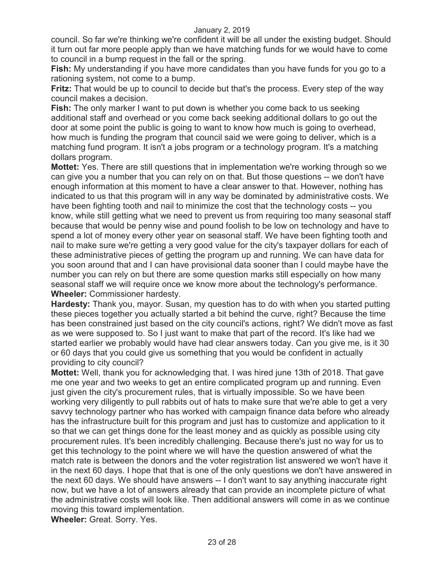council. So far we're thinking we're confident it will be all under the existing budget. Should it turn out far more people apply than we have matching funds for we would have to come to council in a bump request in the fall or the spring.

**Fish:** My understanding if you have more candidates than you have funds for you go to a rationing system, not come to a bump.

**Fritz:** That would be up to council to decide but that's the process. Every step of the way council makes a decision.

**Fish:** The only marker I want to put down is whether you come back to us seeking additional staff and overhead or you come back seeking additional dollars to go out the door at some point the public is going to want to know how much is going to overhead, how much is funding the program that council said we were going to deliver, which is a matching fund program. It isn't a jobs program or a technology program. It's a matching dollars program.

**Mottet:** Yes. There are still questions that in implementation we're working through so we can give you a number that you can rely on on that. But those questions -- we don't have enough information at this moment to have a clear answer to that. However, nothing has indicated to us that this program will in any way be dominated by administrative costs. We have been fighting tooth and nail to minimize the cost that the technology costs -- you know, while still getting what we need to prevent us from requiring too many seasonal staff because that would be penny wise and pound foolish to be low on technology and have to spend a lot of money every other year on seasonal staff. We have been fighting tooth and nail to make sure we're getting a very good value for the city's taxpayer dollars for each of these administrative pieces of getting the program up and running. We can have data for you soon around that and I can have provisional data sooner than I could maybe have the number you can rely on but there are some question marks still especially on how many seasonal staff we will require once we know more about the technology's performance. **Wheeler:** Commissioner hardesty.

**Hardesty:** Thank you, mayor. Susan, my question has to do with when you started putting these pieces together you actually started a bit behind the curve, right? Because the time has been constrained just based on the city council's actions, right? We didn't move as fast as we were supposed to. So I just want to make that part of the record. It's like had we started earlier we probably would have had clear answers today. Can you give me, is it 30 or 60 days that you could give us something that you would be confident in actually providing to city council?

**Mottet:** Well, thank you for acknowledging that. I was hired june 13th of 2018. That gave me one year and two weeks to get an entire complicated program up and running. Even just given the city's procurement rules, that is virtually impossible. So we have been working very diligently to pull rabbits out of hats to make sure that we're able to get a very savvy technology partner who has worked with campaign finance data before who already has the infrastructure built for this program and just has to customize and application to it so that we can get things done for the least money and as quickly as possible using city procurement rules. It's been incredibly challenging. Because there's just no way for us to get this technology to the point where we will have the question answered of what the match rate is between the donors and the voter registration list answered we won't have it in the next 60 days. I hope that that is one of the only questions we don't have answered in the next 60 days. We should have answers -- I don't want to say anything inaccurate right now, but we have a lot of answers already that can provide an incomplete picture of what the administrative costs will look like. Then additional answers will come in as we continue moving this toward implementation.

**Wheeler:** Great. Sorry. Yes.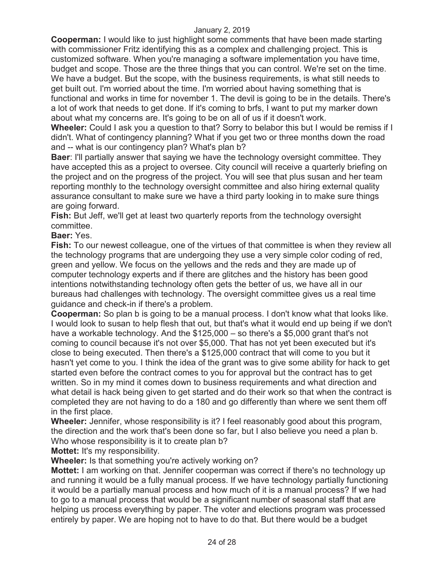**Cooperman:** I would like to just highlight some comments that have been made starting with commissioner Fritz identifying this as a complex and challenging project. This is customized software. When you're managing a software implementation you have time, budget and scope. Those are the three things that you can control. We're set on the time. We have a budget. But the scope, with the business requirements, is what still needs to get built out. I'm worried about the time. I'm worried about having something that is functional and works in time for november 1. The devil is going to be in the details. There's a lot of work that needs to get done. If it's coming to brfs, I want to put my marker down about what my concerns are. It's going to be on all of us if it doesn't work.

**Wheeler:** Could I ask you a question to that? Sorry to belabor this but I would be remiss if I didn't. What of contingency planning? What if you get two or three months down the road and -- what is our contingency plan? What's plan b?

**Baer**: I'll partially answer that saying we have the technology oversight committee. They have accepted this as a project to oversee. City council will receive a quarterly briefing on the project and on the progress of the project. You will see that plus susan and her team reporting monthly to the technology oversight committee and also hiring external quality assurance consultant to make sure we have a third party looking in to make sure things are going forward.

**Fish:** But Jeff, we'll get at least two quarterly reports from the technology oversight committee.

**Baer:** Yes.

**Fish:** To our newest colleague, one of the virtues of that committee is when they review all the technology programs that are undergoing they use a very simple color coding of red, green and yellow. We focus on the yellows and the reds and they are made up of computer technology experts and if there are glitches and the history has been good intentions notwithstanding technology often gets the better of us, we have all in our bureaus had challenges with technology. The oversight committee gives us a real time guidance and check-in if there's a problem.

**Cooperman:** So plan b is going to be a manual process. I don't know what that looks like. I would look to susan to help flesh that out, but that's what it would end up being if we don't have a workable technology. And the \$125,000 – so there's a \$5,000 grant that's not coming to council because it's not over \$5,000. That has not yet been executed but it's close to being executed. Then there's a \$125,000 contract that will come to you but it hasn't yet come to you. I think the idea of the grant was to give some ability for hack to get started even before the contract comes to you for approval but the contract has to get written. So in my mind it comes down to business requirements and what direction and what detail is hack being given to get started and do their work so that when the contract is completed they are not having to do a 180 and go differently than where we sent them off in the first place.

**Wheeler:** Jennifer, whose responsibility is it? I feel reasonably good about this program, the direction and the work that's been done so far, but I also believe you need a plan b. Who whose responsibility is it to create plan b?

**Mottet:** It's my responsibility.

**Wheeler:** Is that something you're actively working on?

**Mottet:** I am working on that. Jennifer cooperman was correct if there's no technology up and running it would be a fully manual process. If we have technology partially functioning it would be a partially manual process and how much of it is a manual process? If we had to go to a manual process that would be a significant number of seasonal staff that are helping us process everything by paper. The voter and elections program was processed entirely by paper. We are hoping not to have to do that. But there would be a budget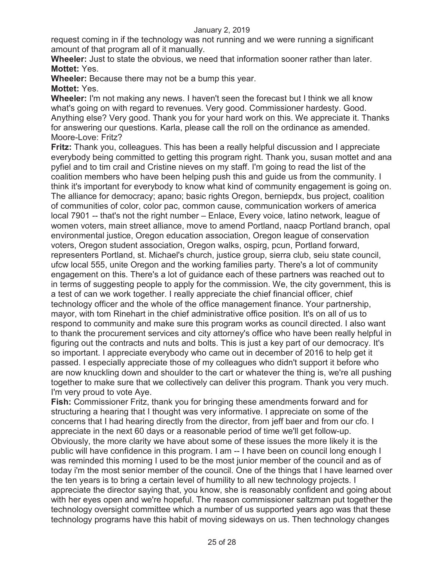request coming in if the technology was not running and we were running a significant amount of that program all of it manually.

**Wheeler:** Just to state the obvious, we need that information sooner rather than later. **Mottet:** Yes.

**Wheeler:** Because there may not be a bump this year.

#### **Mottet:** Yes.

**Wheeler:** I'm not making any news. I haven't seen the forecast but I think we all know what's going on with regard to revenues. Very good. Commissioner hardesty. Good. Anything else? Very good. Thank you for your hard work on this. We appreciate it. Thanks for answering our questions. Karla, please call the roll on the ordinance as amended. Moore-Love: Fritz?

**Fritz:** Thank you, colleagues. This has been a really helpful discussion and I appreciate everybody being committed to getting this program right. Thank you, susan mottet and ana pyfiel and to tim crail and Cristine nieves on my staff. I'm going to read the list of the coalition members who have been helping push this and guide us from the community. I think it's important for everybody to know what kind of community engagement is going on. The alliance for democracy; apano; basic rights Oregon, berniepdx, bus project, coalition of communities of color, color pac, common cause, communication workers of america local 7901 -- that's not the right number – Enlace, Every voice, latino network, league of women voters, main street alliance, move to amend Portland, naacp Portland branch, opal environmental justice, Oregon education association, Oregon league of conservation voters, Oregon student association, Oregon walks, ospirg, pcun, Portland forward, representers Portland, st. Michael's church, justice group, sierra club, seiu state council, ufcw local 555, unite Oregon and the working families party. There's a lot of community engagement on this. There's a lot of guidance each of these partners was reached out to in terms of suggesting people to apply for the commission. We, the city government, this is a test of can we work together. I really appreciate the chief financial officer, chief technology officer and the whole of the office management finance. Your partnership, mayor, with tom Rinehart in the chief administrative office position. It's on all of us to respond to community and make sure this program works as council directed. I also want to thank the procurement services and city attorney's office who have been really helpful in figuring out the contracts and nuts and bolts. This is just a key part of our democracy. It's so important. I appreciate everybody who came out in december of 2016 to help get it passed. I especially appreciate those of my colleagues who didn't support it before who are now knuckling down and shoulder to the cart or whatever the thing is, we're all pushing together to make sure that we collectively can deliver this program. Thank you very much. I'm very proud to vote Aye.

**Fish:** Commissioner Fritz, thank you for bringing these amendments forward and for structuring a hearing that I thought was very informative. I appreciate on some of the concerns that I had hearing directly from the director, from jeff baer and from our cfo. I appreciate in the next 60 days or a reasonable period of time we'll get follow-up. Obviously, the more clarity we have about some of these issues the more likely it is the public will have confidence in this program. I am -- I have been on council long enough I was reminded this morning I used to be the most junior member of the council and as of today i'm the most senior member of the council. One of the things that I have learned over the ten years is to bring a certain level of humility to all new technology projects. I appreciate the director saying that, you know, she is reasonably confident and going about with her eyes open and we're hopeful. The reason commissioner saltzman put together the technology oversight committee which a number of us supported years ago was that these technology programs have this habit of moving sideways on us. Then technology changes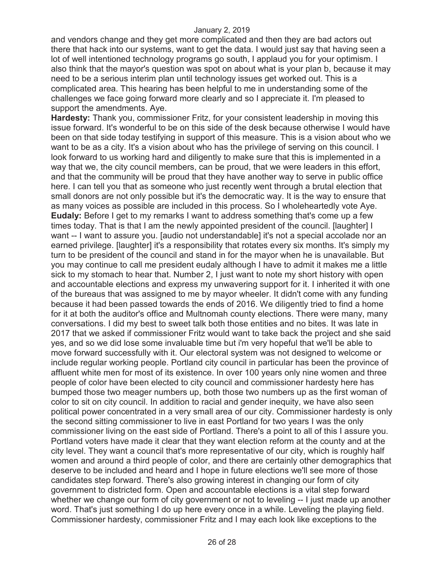and vendors change and they get more complicated and then they are bad actors out there that hack into our systems, want to get the data. I would just say that having seen a lot of well intentioned technology programs go south, I applaud you for your optimism. I also think that the mayor's question was spot on about what is your plan b, because it may need to be a serious interim plan until technology issues get worked out. This is a complicated area. This hearing has been helpful to me in understanding some of the challenges we face going forward more clearly and so I appreciate it. I'm pleased to support the amendments. Aye.

**Hardesty:** Thank you, commissioner Fritz, for your consistent leadership in moving this issue forward. It's wonderful to be on this side of the desk because otherwise I would have been on that side today testifying in support of this measure. This is a vision about who we want to be as a city. It's a vision about who has the privilege of serving on this council. I look forward to us working hard and diligently to make sure that this is implemented in a way that we, the city council members, can be proud, that we were leaders in this effort, and that the community will be proud that they have another way to serve in public office here. I can tell you that as someone who just recently went through a brutal election that small donors are not only possible but it's the democratic way. It is the way to ensure that as many voices as possible are included in this process. So I wholeheartedly vote Aye. **Eudaly:** Before I get to my remarks I want to address something that's come up a few times today. That is that I am the newly appointed president of the council. [laughter] I want -- I want to assure you. [audio not understandable] it's not a special accolade nor an earned privilege. [laughter] it's a responsibility that rotates every six months. It's simply my turn to be president of the council and stand in for the mayor when he is unavailable. But you may continue to call me president eudaly although I have to admit it makes me a little sick to my stomach to hear that. Number 2, I just want to note my short history with open and accountable elections and express my unwavering support for it. I inherited it with one of the bureaus that was assigned to me by mayor wheeler. It didn't come with any funding because it had been passed towards the ends of 2016. We diligently tried to find a home for it at both the auditor's office and Multnomah county elections. There were many, many conversations. I did my best to sweet talk both those entities and no bites. It was late in 2017 that we asked if commissioner Fritz would want to take back the project and she said yes, and so we did lose some invaluable time but i'm very hopeful that we'll be able to move forward successfully with it. Our electoral system was not designed to welcome or include regular working people. Portland city council in particular has been the province of affluent white men for most of its existence. In over 100 years only nine women and three people of color have been elected to city council and commissioner hardesty here has bumped those two meager numbers up, both those two numbers up as the first woman of color to sit on city council. In addition to racial and gender inequity, we have also seen political power concentrated in a very small area of our city. Commissioner hardesty is only the second sitting commissioner to live in east Portland for two years I was the only commissioner living on the east side of Portland. There's a point to all of this I assure you. Portland voters have made it clear that they want election reform at the county and at the city level. They want a council that's more representative of our city, which is roughly half women and around a third people of color, and there are certainly other demographics that deserve to be included and heard and I hope in future elections we'll see more of those candidates step forward. There's also growing interest in changing our form of city government to districted form. Open and accountable elections is a vital step forward whether we change our form of city government or not to leveling -- I just made up another word. That's just something I do up here every once in a while. Leveling the playing field. Commissioner hardesty, commissioner Fritz and I may each look like exceptions to the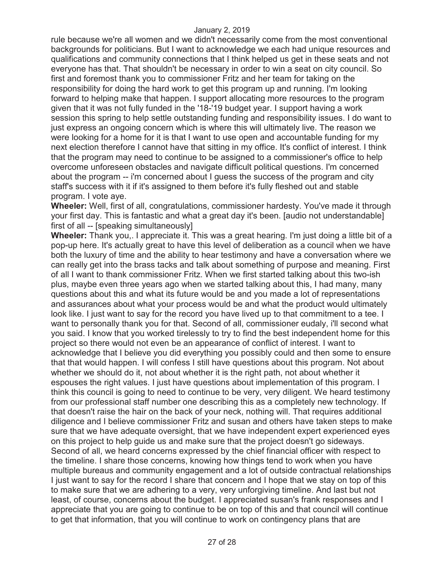rule because we're all women and we didn't necessarily come from the most conventional backgrounds for politicians. But I want to acknowledge we each had unique resources and qualifications and community connections that I think helped us get in these seats and not everyone has that. That shouldn't be necessary in order to win a seat on city council. So first and foremost thank you to commissioner Fritz and her team for taking on the responsibility for doing the hard work to get this program up and running. I'm looking forward to helping make that happen. I support allocating more resources to the program given that it was not fully funded in the '18-'19 budget year. I support having a work session this spring to help settle outstanding funding and responsibility issues. I do want to just express an ongoing concern which is where this will ultimately live. The reason we were looking for a home for it is that I want to use open and accountable funding for my next election therefore I cannot have that sitting in my office. It's conflict of interest. I think that the program may need to continue to be assigned to a commissioner's office to help overcome unforeseen obstacles and navigate difficult political questions. I'm concerned about the program -- i'm concerned about I guess the success of the program and city staff's success with it if it's assigned to them before it's fully fleshed out and stable program. I vote aye.

**Wheeler:** Well, first of all, congratulations, commissioner hardesty. You've made it through your first day. This is fantastic and what a great day it's been. [audio not understandable] first of all -- [speaking simultaneously]

**Wheeler:** Thank you,. I appreciate it. This was a great hearing. I'm just doing a little bit of a pop-up here. It's actually great to have this level of deliberation as a council when we have both the luxury of time and the ability to hear testimony and have a conversation where we can really get into the brass tacks and talk about something of purpose and meaning. First of all I want to thank commissioner Fritz. When we first started talking about this two-ish plus, maybe even three years ago when we started talking about this, I had many, many questions about this and what its future would be and you made a lot of representations and assurances about what your process would be and what the product would ultimately look like. I just want to say for the record you have lived up to that commitment to a tee. I want to personally thank you for that. Second of all, commissioner eudaly, i'll second what you said. I know that you worked tirelessly to try to find the best independent home for this project so there would not even be an appearance of conflict of interest. I want to acknowledge that I believe you did everything you possibly could and then some to ensure that that would happen. I will confess I still have questions about this program. Not about whether we should do it, not about whether it is the right path, not about whether it espouses the right values. I just have questions about implementation of this program. I think this council is going to need to continue to be very, very diligent. We heard testimony from our professional staff number one describing this as a completely new technology. If that doesn't raise the hair on the back of your neck, nothing will. That requires additional diligence and I believe commissioner Fritz and susan and others have taken steps to make sure that we have adequate oversight, that we have independent expert experienced eyes on this project to help guide us and make sure that the project doesn't go sideways. Second of all, we heard concerns expressed by the chief financial officer with respect to the timeline. I share those concerns, knowing how things tend to work when you have multiple bureaus and community engagement and a lot of outside contractual relationships I just want to say for the record I share that concern and I hope that we stay on top of this to make sure that we are adhering to a very, very unforgiving timeline. And last but not least, of course, concerns about the budget. I appreciated susan's frank responses and I appreciate that you are going to continue to be on top of this and that council will continue to get that information, that you will continue to work on contingency plans that are